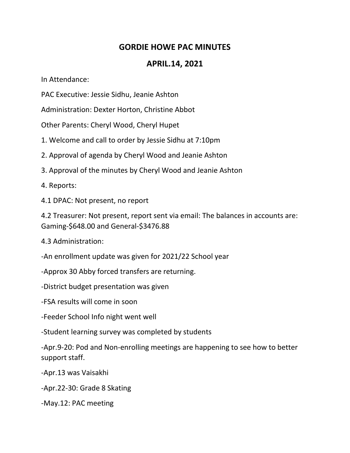## **GORDIE HOWE PAC MINUTES**

## **APRIL.14, 2021**

In Attendance:

PAC Executive: Jessie Sidhu, Jeanie Ashton

Administration: Dexter Horton, Christine Abbot

Other Parents: Cheryl Wood, Cheryl Hupet

1. Welcome and call to order by Jessie Sidhu at 7:10pm

2. Approval of agenda by Cheryl Wood and Jeanie Ashton

3. Approval of the minutes by Cheryl Wood and Jeanie Ashton

4. Reports:

4.1 DPAC: Not present, no report

4.2 Treasurer: Not present, report sent via email: The balances in accounts are: Gaming-\$648.00 and General-\$3476.88

4.3 Administration:

-An enrollment update was given for 2021/22 School year

-Approx 30 Abby forced transfers are returning.

-District budget presentation was given

-FSA results will come in soon

-Feeder School Info night went well

-Student learning survey was completed by students

-Apr.9-20: Pod and Non-enrolling meetings are happening to see how to better support staff.

-Apr.13 was Vaisakhi

-Apr.22-30: Grade 8 Skating

-May.12: PAC meeting